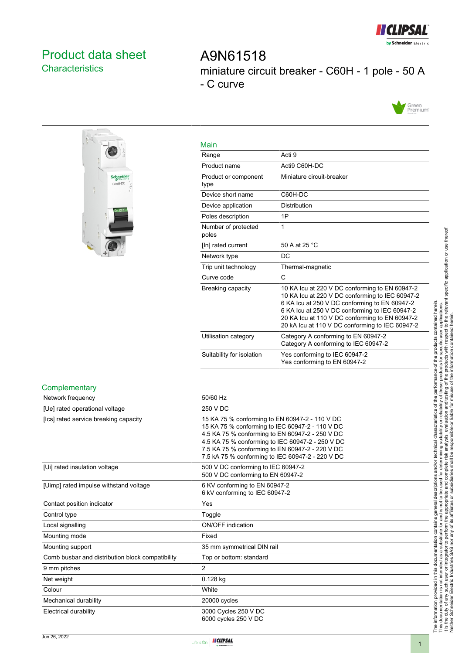

# <span id="page-0-0"></span>Product data sheet **Characteristics**

A9N61518 miniature circuit breaker - C60H - 1 pole - 50 A - C curve





| <b>Main</b>                  |                                                                                                                                                                                                                                                                                                           |
|------------------------------|-----------------------------------------------------------------------------------------------------------------------------------------------------------------------------------------------------------------------------------------------------------------------------------------------------------|
| Range                        | Acti 9                                                                                                                                                                                                                                                                                                    |
| Product name                 | Acti9 C60H-DC                                                                                                                                                                                                                                                                                             |
| Product or component<br>type | Miniature circuit-breaker                                                                                                                                                                                                                                                                                 |
| Device short name            | C60H-DC                                                                                                                                                                                                                                                                                                   |
| Device application           | <b>Distribution</b>                                                                                                                                                                                                                                                                                       |
| Poles description            | 1P                                                                                                                                                                                                                                                                                                        |
| Number of protected<br>poles | 1                                                                                                                                                                                                                                                                                                         |
| [In] rated current           | 50 A at 25 °C                                                                                                                                                                                                                                                                                             |
| Network type                 | DC.                                                                                                                                                                                                                                                                                                       |
| Trip unit technology         | Thermal-magnetic                                                                                                                                                                                                                                                                                          |
| Curve code                   | C                                                                                                                                                                                                                                                                                                         |
| Breaking capacity            | 10 KA Icu at 220 V DC conforming to EN 60947-2<br>10 KA Icu at 220 V DC conforming to IEC 60947-2<br>6 KA Icu at 250 V DC conforming to EN 60947-2<br>6 KA Icu at 250 V DC conforming to IEC 60947-2<br>20 KA Icu at 110 V DC conforming to EN 60947-2<br>20 kA lcu at 110 V DC conforming to IEC 60947-2 |
| Utilisation category         | Category A conforming to EN 60947-2<br>Category A conforming to IEC 60947-2                                                                                                                                                                                                                               |
| Suitability for isolation    | Yes conforming to IEC 60947-2<br>Yes conforming to EN 60947-2                                                                                                                                                                                                                                             |

#### **Complementary**

| Network frequency                                | 50/60 Hz                                                                                                                                                                                                                                                                                                        |
|--------------------------------------------------|-----------------------------------------------------------------------------------------------------------------------------------------------------------------------------------------------------------------------------------------------------------------------------------------------------------------|
| [Ue] rated operational voltage                   | 250 V DC                                                                                                                                                                                                                                                                                                        |
| [Ics] rated service breaking capacity            | 15 KA 75 % conforming to EN 60947-2 - 110 V DC<br>15 KA 75 % conforming to IEC 60947-2 - 110 V DC<br>4.5 KA 75 % conforming to EN 60947-2 - 250 V DC<br>4.5 KA 75 % conforming to IEC 60947-2 - 250 V DC<br>7.5 KA 75 % conforming to EN 60947-2 - 220 V DC<br>7.5 kA 75 % conforming to IEC 60947-2 - 220 V DC |
| [Ui] rated insulation voltage                    | 500 V DC conforming to IEC 60947-2<br>500 V DC conforming to EN 60947-2                                                                                                                                                                                                                                         |
| [Uimp] rated impulse withstand voltage           | 6 KV conforming to EN 60947-2<br>6 kV conforming to IEC 60947-2                                                                                                                                                                                                                                                 |
| Contact position indicator                       | Yes                                                                                                                                                                                                                                                                                                             |
| Control type                                     | Toggle                                                                                                                                                                                                                                                                                                          |
| Local signalling                                 | <b>ON/OFF</b> indication                                                                                                                                                                                                                                                                                        |
| Mounting mode                                    | Fixed                                                                                                                                                                                                                                                                                                           |
| Mounting support                                 | 35 mm symmetrical DIN rail                                                                                                                                                                                                                                                                                      |
| Comb busbar and distribution block compatibility | Top or bottom: standard                                                                                                                                                                                                                                                                                         |
| 9 mm pitches                                     | $\overline{2}$                                                                                                                                                                                                                                                                                                  |
| Net weight                                       | 0.128 kg                                                                                                                                                                                                                                                                                                        |
| Colour                                           | White                                                                                                                                                                                                                                                                                                           |
| Mechanical durability                            | 20000 cycles                                                                                                                                                                                                                                                                                                    |
| Electrical durability                            | 3000 Cycles 250 V DC<br>6000 cycles 250 V DC                                                                                                                                                                                                                                                                    |